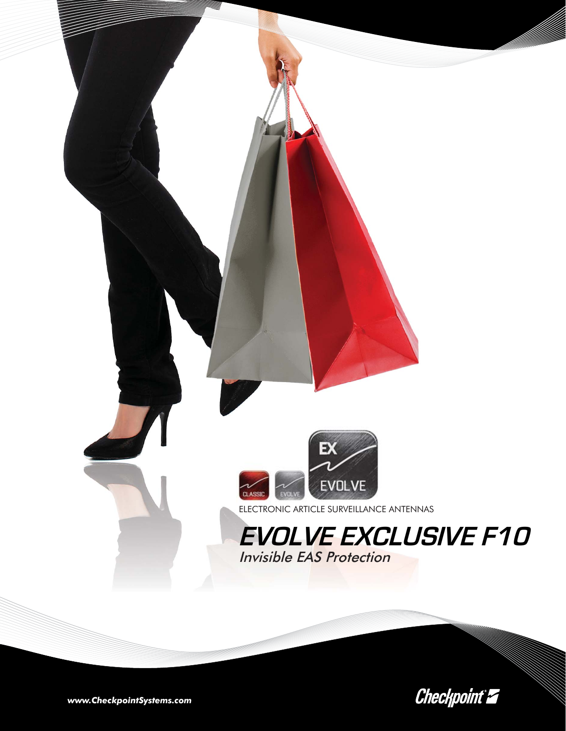